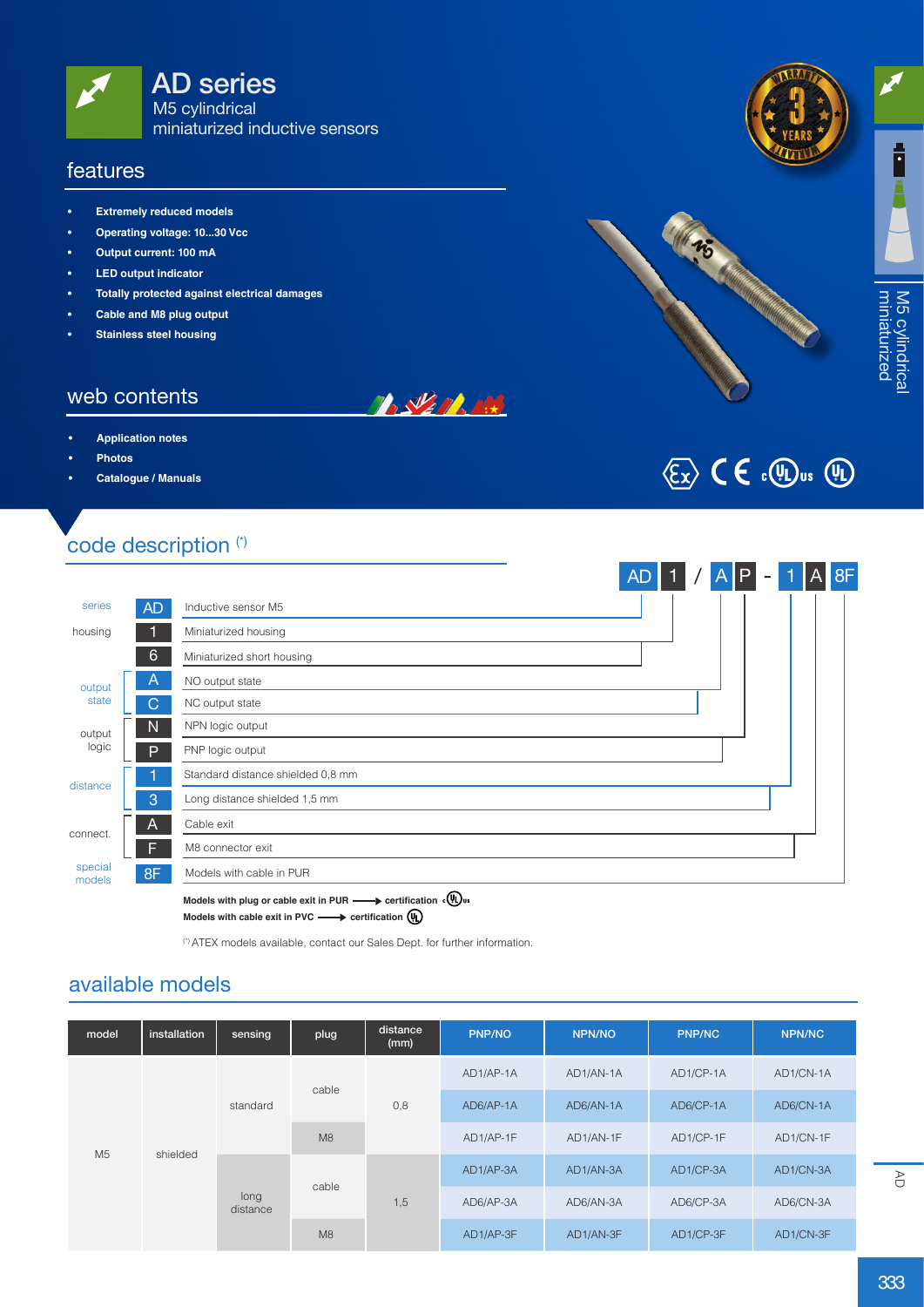

#### features

- **• Extremely reduced models**
- **• Operating voltage: 10...30 Vcc**
- **• Output current: 100 mA**
- **• LED output indicator**
- **• Totally protected against electrical damages**
- **• Cable and M8 plug output**
- **Stainless steel housing**

#### web contents

- **• Application notes**
- **• Photos**
- **• Catalogue / Manuals**

# code description (\*)



**BALLARDER** 

Models with plug or cable exit in PUR **-** certification  $\sqrt[6]{w}$  us **Models with cable exit in PVC - ertification**  $\left(\begin{matrix} 0 \\ 1 \end{matrix}\right)$ 

(\*) ATEX models available, contact our Sales Dept. for further information.

#### available models

| model          | installation | sensing          | plug  | distance<br>(mm) | <b>PNP/NO</b> | NPN/NO    | <b>PNP/NC</b> | NPN/NC    |
|----------------|--------------|------------------|-------|------------------|---------------|-----------|---------------|-----------|
| M <sub>5</sub> | shielded     | standard         | cable | 0,8              | AD1/AP-1A     | AD1/AN-1A | AD1/CP-1A     | AD1/CN-1A |
|                |              |                  |       |                  | AD6/AP-1A     | AD6/AN-1A | AD6/CP-1A     | AD6/CN-1A |
|                |              |                  | M8    |                  | AD1/AP-1F     | AD1/AN-1F | AD1/CP-1F     | AD1/CN-1F |
|                |              | long<br>distance | cable | 1,5              | AD1/AP-3A     | AD1/AN-3A | AD1/CP-3A     | AD1/CN-3A |
|                |              |                  |       |                  | AD6/AP-3A     | AD6/AN-3A | AD6/CP-3A     | AD6/CN-3A |
|                |              |                  | M8    |                  | AD1/AP-3F     | AD1/AN-3F | AD1/CP-3F     | AD1/CN-3F |

**warrant<sup>y</sup> a w <sup>t</sup>nar<sup>r</sup> <sup>y</sup>**



 $\langle \overline{\xi_x} \rangle$  (  $\in$   $\Omega$ ,  $\langle \overline{\psi_x} \rangle$   $\langle \overline{\psi_x} \rangle$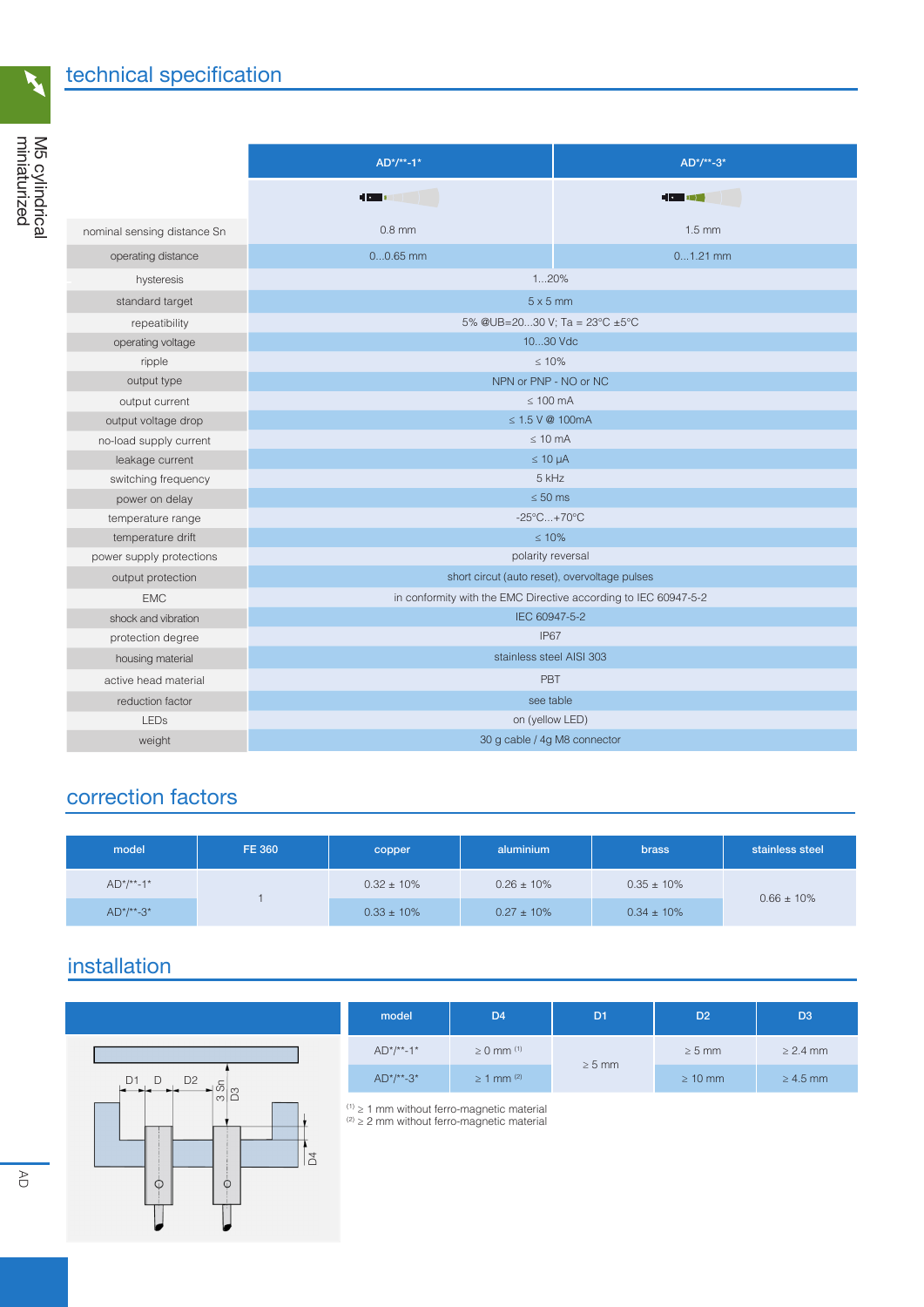$\mathbf{k}$ 

|                             | $AD^*/**-1*$                                                    | $AD^*/**-3*$     |  |  |  |
|-----------------------------|-----------------------------------------------------------------|------------------|--|--|--|
|                             | <b>HOLLEN</b>                                                   | <b>HO 181</b>    |  |  |  |
| nominal sensing distance Sn | $0.8$ mm                                                        | $1.5 \text{ mm}$ |  |  |  |
| operating distance          | $00.65$ mm                                                      | $01.21$ mm       |  |  |  |
| hysteresis                  | 120%                                                            |                  |  |  |  |
| standard target             | $5 \times 5$ mm                                                 |                  |  |  |  |
| repeatibility               | 5% @UB=2030 V; Ta = $23^{\circ}$ C ±5°C                         |                  |  |  |  |
| operating voltage           | 1030 Vdc                                                        |                  |  |  |  |
| ripple                      | < 10%                                                           |                  |  |  |  |
| output type                 | NPN or PNP - NO or NC                                           |                  |  |  |  |
| output current              | $\leq 100$ mA                                                   |                  |  |  |  |
| output voltage drop         | $\leq 1.5$ V @ 100mA                                            |                  |  |  |  |
| no-load supply current      | $\leq 10$ mA                                                    |                  |  |  |  |
| leakage current             | $\leq 10 \mu A$                                                 |                  |  |  |  |
| switching frequency         | 5 kHz                                                           |                  |  |  |  |
| power on delay              | $\leq 50$ ms                                                    |                  |  |  |  |
| temperature range           | $-25^{\circ}$ C +70 $^{\circ}$ C                                |                  |  |  |  |
| temperature drift           | $\leq 10\%$                                                     |                  |  |  |  |
| power supply protections    | polarity reversal                                               |                  |  |  |  |
| output protection           | short circut (auto reset), overvoltage pulses                   |                  |  |  |  |
| <b>EMC</b>                  | in conformity with the EMC Directive according to IEC 60947-5-2 |                  |  |  |  |
| shock and vibration         | IEC 60947-5-2                                                   |                  |  |  |  |
| protection degree           | <b>IP67</b>                                                     |                  |  |  |  |
| housing material            | stainless steel AISI 303                                        |                  |  |  |  |
| active head material        | PBT                                                             |                  |  |  |  |
| reduction factor            | see table                                                       |                  |  |  |  |
| <b>LED<sub>S</sub></b>      | on (yellow LED)                                                 |                  |  |  |  |
| weight                      | 30 g cable / 4g M8 connector                                    |                  |  |  |  |

## correction factors

| model        | <b>FE 360</b> | copper          | aluminium       | <b>brass</b>    | stainless steel |
|--------------|---------------|-----------------|-----------------|-----------------|-----------------|
| $AD^*/**-1*$ |               | $0.32 \pm 10\%$ | $0.26 \pm 10\%$ | $0.35 \pm 10\%$ |                 |
| $AD^*/**-3*$ |               | $0.33 \pm 10\%$ | $0.27 \pm 10\%$ | $0.34 \pm 10\%$ | $0.66 \pm 10\%$ |

## installation

 $\overline{a}$ 



| model        | D <sub>4</sub>             | D <sub>1</sub> | D <sub>2</sub> | D <sub>3</sub> |
|--------------|----------------------------|----------------|----------------|----------------|
| $AD^*/**-1*$ | $\geq 0$ mm <sup>(1)</sup> | $\geq 5$ mm    | $\geq 5$ mm    | $\geq$ 2.4 mm  |
| $AD^*/**-3*$ | $\geq$ 1 mm <sup>(2)</sup> |                | $\geq 10$ mm   | $\geq 4.5$ mm  |

(1) ≥ 1 mm without ferro-magnetic material  $(2)$   $\geq$  2 mm without ferro-magnetic material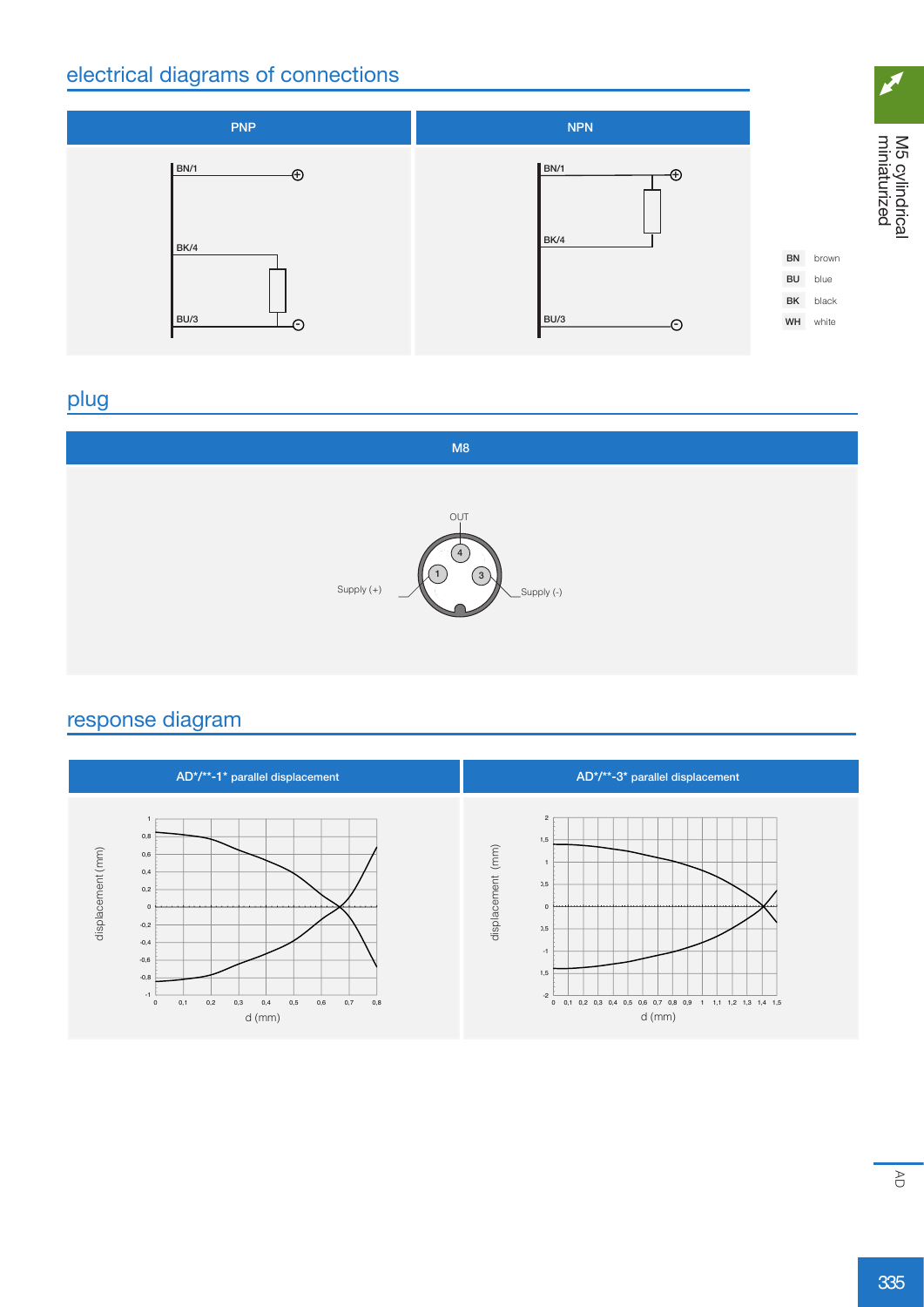### electrical diagrams of connections



#### plug



#### response diagram